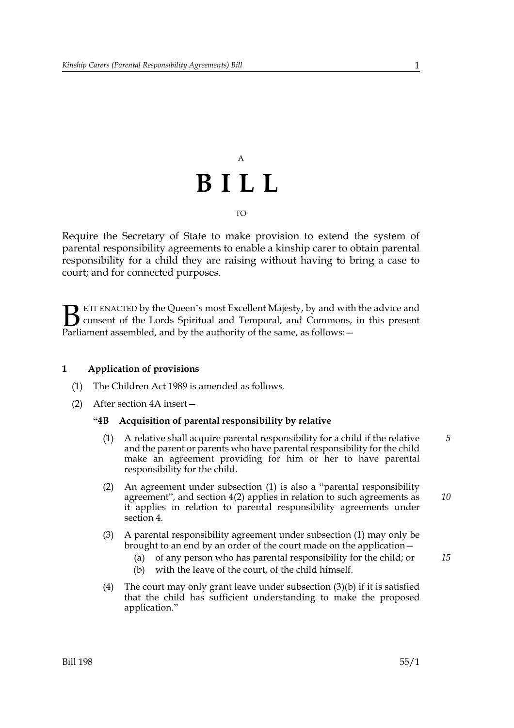## A **BILL** TO

Require the Secretary of State to make provision to extend the system of parental responsibility agreements to enable a kinship carer to obtain parental responsibility for a child they are raising without having to bring a case to court; and for connected purposes.

E IT ENACTED by the Queen's most Excellent Majesty, by and with the advice and consent of the Lords Spiritual and Temporal, and Commons, in this present **B** E IT ENACTED by the Queen's most Excellent Majesty, by and with consent of the Lords Spiritual and Temporal, and Commons, Parliament assembled, and by the authority of the same, as follows:  $-$ 

#### **1 Application of provisions**

- (1) The Children Act 1989 is amended as follows.
- (2) After section 4A insert—

#### **"4B Acquisition of parental responsibility by relative**

- (1) A relative shall acquire parental responsibility for a child if the relative and the parent or parents who have parental responsibility for the child make an agreement providing for him or her to have parental responsibility for the child. *5*
- (2) An agreement under subsection (1) is also a "parental responsibility agreement", and section 4(2) applies in relation to such agreements as it applies in relation to parental responsibility agreements under section 4.
- (3) A parental responsibility agreement under subsection (1) may only be brought to an end by an order of the court made on the application—
	- (a) of any person who has parental responsibility for the child; or
	- (b) with the leave of the court, of the child himself.
- (4) The court may only grant leave under subsection  $(3)(b)$  if it is satisfied that the child has sufficient understanding to make the proposed application."

*15*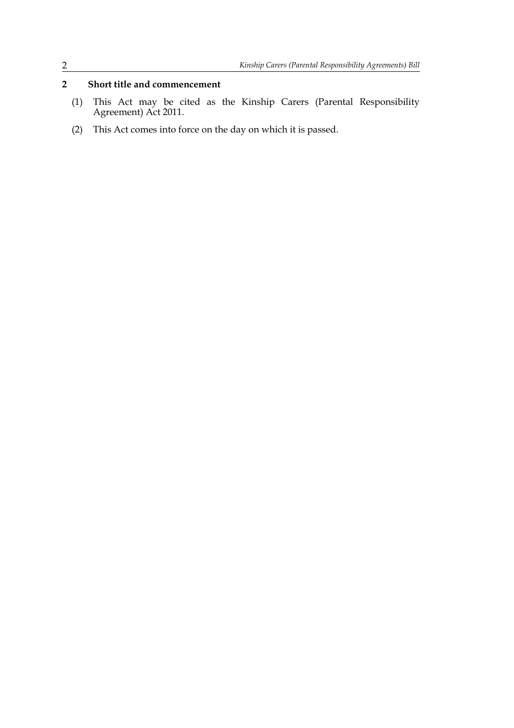### **2 Short title and commencement**

- (1) This Act may be cited as the Kinship Carers (Parental Responsibility Agreement) Act 2011.
- (2) This Act comes into force on the day on which it is passed.